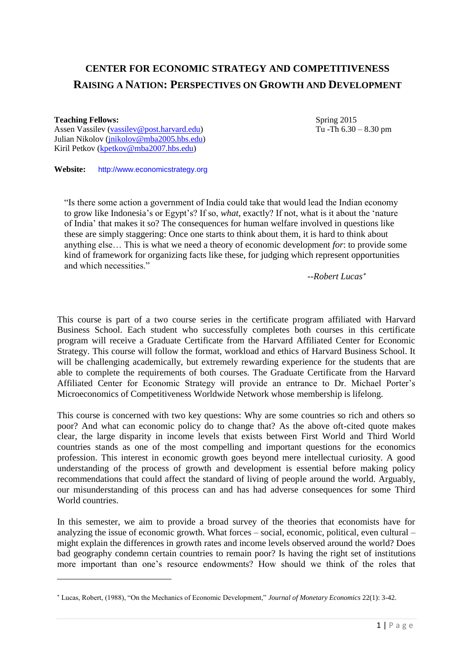# **CENTER FOR ECONOMIC STRATEGY AND COMPETITIVENESS RAISING A NATION: PERSPECTIVES ON GROWTH AND DEVELOPMENT**

### **Teaching Fellows:**

1

Assen Vassilev [\(vassilev@post.harvard.edu\)](mailto:vassilev@post.harvard.edu) Julian Nikolov [\(jnikolov@mba2005.hbs.edu\)](mailto:jnikolov@mba2005.hbs.edu) Kiril Petkov [\(kpetkov@mba2007.hbs.edu\)](mailto:kpetkov@mba2007.hbs.edu)

Spring 2015 Tu -Th 6.30 – 8.30 pm

**Website:** http://www.economicstrategy.org

"Is there some action a government of India could take that would lead the Indian economy to grow like Indonesia's or Egypt's? If so, *what*, exactly? If not, what is it about the 'nature of India' that makes it so? The consequences for human welfare involved in questions like these are simply staggering: Once one starts to think about them, it is hard to think about anything else… This is what we need a theory of economic development *for*: to provide some kind of framework for organizing facts like these, for judging which represent opportunities and which necessities."

*--Robert Lucas*

This course is part of a two course series in the certificate program affiliated with Harvard Business School. Each student who successfully completes both courses in this certificate program will receive a Graduate Certificate from the Harvard Affiliated Center for Economic Strategy. This course will follow the format, workload and ethics of Harvard Business School. It will be challenging academically, but extremely rewarding experience for the students that are able to complete the requirements of both courses. The Graduate Certificate from the Harvard Affiliated Center for Economic Strategy will provide an entrance to Dr. Michael Porter's Microeconomics of Competitiveness Worldwide Network whose membership is lifelong.

This course is concerned with two key questions: Why are some countries so rich and others so poor? And what can economic policy do to change that? As the above oft-cited quote makes clear, the large disparity in income levels that exists between First World and Third World countries stands as one of the most compelling and important questions for the economics profession. This interest in economic growth goes beyond mere intellectual curiosity. A good understanding of the process of growth and development is essential before making policy recommendations that could affect the standard of living of people around the world. Arguably, our misunderstanding of this process can and has had adverse consequences for some Third World countries.

In this semester, we aim to provide a broad survey of the theories that economists have for analyzing the issue of economic growth. What forces – social, economic, political, even cultural – might explain the differences in growth rates and income levels observed around the world? Does bad geography condemn certain countries to remain poor? Is having the right set of institutions more important than one's resource endowments? How should we think of the roles that

Lucas, Robert, (1988), "On the Mechanics of Economic Development," *Journal of Monetary Economics* 22(1): 3-42.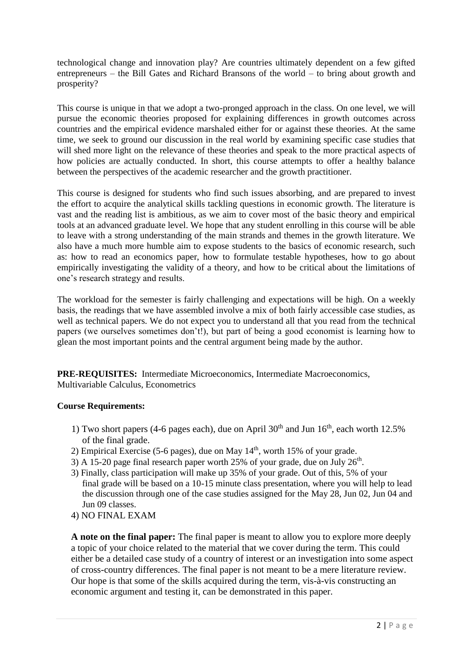technological change and innovation play? Are countries ultimately dependent on a few gifted entrepreneurs – the Bill Gates and Richard Bransons of the world – to bring about growth and prosperity?

This course is unique in that we adopt a two-pronged approach in the class. On one level, we will pursue the economic theories proposed for explaining differences in growth outcomes across countries and the empirical evidence marshaled either for or against these theories. At the same time, we seek to ground our discussion in the real world by examining specific case studies that will shed more light on the relevance of these theories and speak to the more practical aspects of how policies are actually conducted. In short, this course attempts to offer a healthy balance between the perspectives of the academic researcher and the growth practitioner.

This course is designed for students who find such issues absorbing, and are prepared to invest the effort to acquire the analytical skills tackling questions in economic growth. The literature is vast and the reading list is ambitious, as we aim to cover most of the basic theory and empirical tools at an advanced graduate level. We hope that any student enrolling in this course will be able to leave with a strong understanding of the main strands and themes in the growth literature. We also have a much more humble aim to expose students to the basics of economic research, such as: how to read an economics paper, how to formulate testable hypotheses, how to go about empirically investigating the validity of a theory, and how to be critical about the limitations of one's research strategy and results.

The workload for the semester is fairly challenging and expectations will be high. On a weekly basis, the readings that we have assembled involve a mix of both fairly accessible case studies, as well as technical papers. We do not expect you to understand all that you read from the technical papers (we ourselves sometimes don't!), but part of being a good economist is learning how to glean the most important points and the central argument being made by the author.

**PRE-REQUISITES:** Intermediate Microeconomics, Intermediate Macroeconomics, Multivariable Calculus, Econometrics

# **Course Requirements:**

- 1) Two short papers (4-6 pages each), due on April  $30<sup>th</sup>$  and Jun  $16<sup>th</sup>$ , each worth 12.5% of the final grade.
- 2) Empirical Exercise (5-6 pages), due on May  $14<sup>th</sup>$ , worth 15% of your grade.
- 3) A 15-20 page final research paper worth 25% of your grade, due on July  $26<sup>th</sup>$ .
- 3) Finally, class participation will make up 35% of your grade. Out of this, 5% of your final grade will be based on a 10-15 minute class presentation, where you will help to lead the discussion through one of the case studies assigned for the May 28, Jun 02, Jun 04 and Jun 09 classes.
- 4) NO FINAL EXAM

**A note on the final paper:** The final paper is meant to allow you to explore more deeply a topic of your choice related to the material that we cover during the term. This could either be a detailed case study of a country of interest or an investigation into some aspect of cross-country differences. The final paper is not meant to be a mere literature review. Our hope is that some of the skills acquired during the term, vis-à-vis constructing an economic argument and testing it, can be demonstrated in this paper.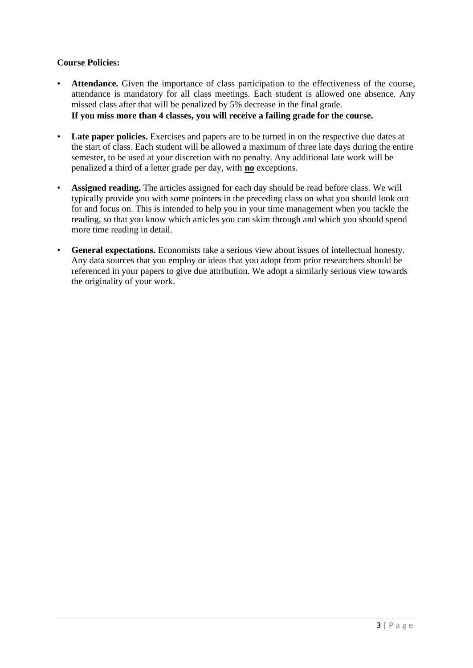# **Course Policies:**

- Attendance. Given the importance of class participation to the effectiveness of the course, attendance is mandatory for all class meetings. Each student is allowed one absence. Any missed class after that will be penalized by 5% decrease in the final grade. **If you miss more than 4 classes, you will receive a failing grade for the course.**
- **Late paper policies.** Exercises and papers are to be turned in on the respective due dates at the start of class. Each student will be allowed a maximum of three late days during the entire semester, to be used at your discretion with no penalty. Any additional late work will be penalized a third of a letter grade per day, with **no** exceptions.
- Assigned reading. The articles assigned for each day should be read before class. We will typically provide you with some pointers in the preceding class on what you should look out for and focus on. This is intended to help you in your time management when you tackle the reading, so that you know which articles you can skim through and which you should spend more time reading in detail.
- General expectations. Economists take a serious view about issues of intellectual honesty. Any data sources that you employ or ideas that you adopt from prior researchers should be referenced in your papers to give due attribution. We adopt a similarly serious view towards the originality of your work.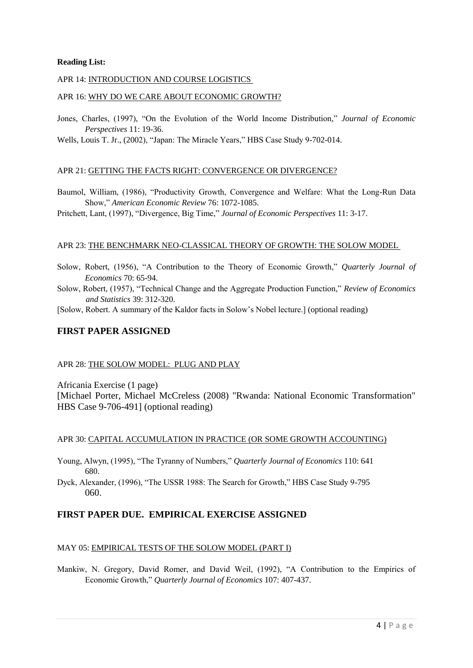### **Reading List:**

### APR 14: INTRODUCTION AND COURSE LOGISTICS

#### APR 16: WHY DO WE CARE ABOUT ECONOMIC GROWTH?

Jones, Charles, (1997), "On the Evolution of the World Income Distribution," *Journal of Economic Perspectives* 11: 19-36.

Wells, Louis T. Jr., (2002), "Japan: The Miracle Years," HBS Case Study 9-702-014.

### APR 21: GETTING THE FACTS RIGHT: CONVERGENCE OR DIVERGENCE?

Baumol, William, (1986), "Productivity Growth, Convergence and Welfare: What the Long-Run Data Show," *American Economic Review* 76: 1072-1085.

Pritchett, Lant, (1997), "Divergence, Big Time," *Journal of Economic Perspectives* 11: 3-17.

### APR 23: THE BENCHMARK NEO-CLASSICAL THEORY OF GROWTH: THE SOLOW MODEL

- Solow, Robert, (1956), "A Contribution to the Theory of Economic Growth," *Quarterly Journal of Economics* 70: 65-94.
- Solow, Robert, (1957), "Technical Change and the Aggregate Production Function," *Review of Economics and Statistics* 39: 312-320.
- [Solow, Robert. A summary of the Kaldor facts in Solow's Nobel lecture.] (optional reading)

# **FIRST PAPER ASSIGNED**

### APR 28: THE SOLOW MODEL: PLUG AND PLAY

Africania Exercise (1 page)

[Michael Porter, Michael McCreless (2008) "Rwanda: National Economic Transformation" HBS Case 9-706-491] (optional reading)

#### APR 30: CAPITAL ACCUMULATION IN PRACTICE (OR SOME GROWTH ACCOUNTING)

- Young, Alwyn, (1995), "The Tyranny of Numbers," *Quarterly Journal of Economics* 110: 641 680.
- Dyck, Alexander, (1996), "The USSR 1988: The Search for Growth," HBS Case Study 9-795 060.

# **FIRST PAPER DUE. EMPIRICAL EXERCISE ASSIGNED**

### MAY 05: EMPIRICAL TESTS OF THE SOLOW MODEL (PART I)

Mankiw, N. Gregory, David Romer, and David Weil, (1992), "A Contribution to the Empirics of Economic Growth," *Quarterly Journal of Economics* 107: 407-437.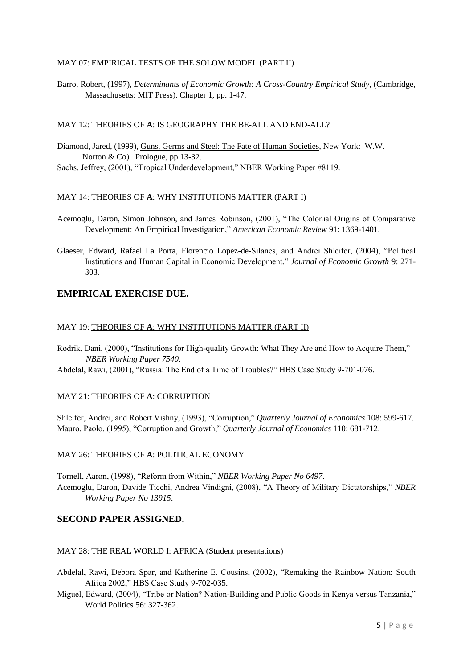### MAY 07: EMPIRICAL TESTS OF THE SOLOW MODEL (PART II)

Barro, Robert, (1997), *Determinants of Economic Growth: A Cross-Country Empirical Study*, (Cambridge, Massachusetts: MIT Press). Chapter 1, pp. 1-47.

### MAY 12: THEORIES OF **A**: IS GEOGRAPHY THE BE-ALL AND END-ALL?

Diamond, Jared, (1999), Guns, Germs and Steel: The Fate of Human Societies, New York: W.W. Norton & Co). Prologue, pp.13-32.

Sachs, Jeffrey, (2001), "Tropical Underdevelopment," NBER Working Paper #8119.

# MAY 14: THEORIES OF **A**: WHY INSTITUTIONS MATTER (PART I)

Acemoglu, Daron, Simon Johnson, and James Robinson, (2001), "The Colonial Origins of Comparative Development: An Empirical Investigation," *American Economic Review* 91: 1369-1401.

Glaeser, Edward, Rafael La Porta, Florencio Lopez-de-Silanes, and Andrei Shleifer, (2004), "Political Institutions and Human Capital in Economic Development," *Journal of Economic Growth* 9: 271- 303*.* 

# **EMPIRICAL EXERCISE DUE.**

### MAY 19: THEORIES OF **A**: WHY INSTITUTIONS MATTER (PART II)

Rodrik, Dani, (2000), "Institutions for High-quality Growth: What They Are and How to Acquire Them," *NBER Working Paper 7540*.

Abdelal, Rawi, (2001), "Russia: The End of a Time of Troubles?" HBS Case Study 9-701-076.

### MAY 21: THEORIES OF **A**: CORRUPTION

Shleifer, Andrei, and Robert Vishny, (1993), "Corruption," *Quarterly Journal of Economics* 108: 599-617. Mauro, Paolo, (1995), "Corruption and Growth," *Quarterly Journal of Economics* 110: 681-712.

### MAY 26: THEORIES OF **A**: POLITICAL ECONOMY

Tornell, Aaron, (1998), "Reform from Within," *NBER Working Paper No 6497*. Acemoglu, Daron, Davide Ticchi, Andrea Vindigni, (2008), "A Theory of Military Dictatorships," *NBER Working Paper No 13915*.

# **SECOND PAPER ASSIGNED.**

# MAY 28: THE REAL WORLD I: AFRICA (Student presentations)

- Abdelal, Rawi, Debora Spar, and Katherine E. Cousins, (2002), "Remaking the Rainbow Nation: South Africa 2002," HBS Case Study 9-702-035.
- Miguel, Edward, (2004), "Tribe or Nation? Nation-Building and Public Goods in Kenya versus Tanzania," World Politics 56: 327-362.